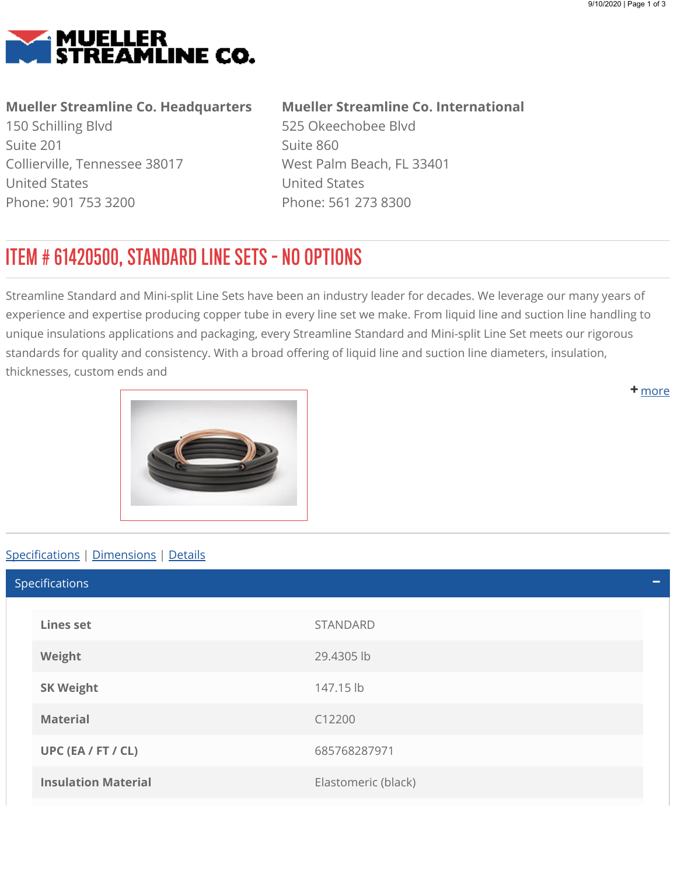<span id="page-0-0"></span>

## Mueller Streamline Co. Headquarters

150 Schilling Blvd Suite 201 Collierville, Tennessee 38017 United States Phone: 901 753 3200

## Mueller Streamline Co. International

525 Okeechobee Blvd Suite 860 West Palm Beach, FL 33401 United States Phone: 561 273 8300

## ITEM # 61420500, STANDARD LINE SETS - NO OPTIONS

Streamline Standard and Mini-split Line Sets have been an industry leader for decades. We leverage our many years of experience and expertise producing copper tube in every line set we make. From liquid line and suction line handling to unique insulations applications and packaging, every Streamline Standard and Mini-split Line Set meets our rigorous standards for quality and consistency. With a broad offering of liquid line and suction line diameters, insulation, thicknesses, custom ends and

<span id="page-0-1"></span>

## Specifications | [Dimensions](#page-1-0) | [Details](#page-1-1)

Lines set STANDARD Weight 29.4305 lb SK Weight 147.15 lb Material C12200 UPC (EA / FT / CL) 685768287971 **Insulation Material Elastomeric (black)** Specifications

**+** [m](#page-0-0)ore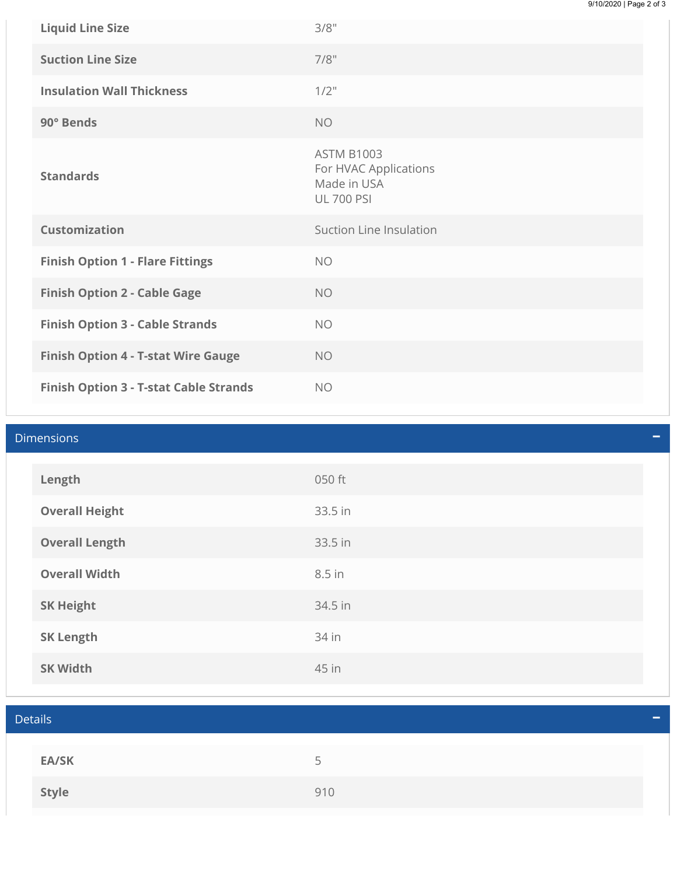| <b>Liquid Line Size</b>                    | 3/8"                                                                           |
|--------------------------------------------|--------------------------------------------------------------------------------|
| <b>Suction Line Size</b>                   | 7/8"                                                                           |
| <b>Insulation Wall Thickness</b>           | $1/2$ "                                                                        |
| 90° Bends                                  | <b>NO</b>                                                                      |
| <b>Standards</b>                           | <b>ASTM B1003</b><br>For HVAC Applications<br>Made in USA<br><b>UL 700 PSI</b> |
| <b>Customization</b>                       | Suction Line Insulation                                                        |
| <b>Finish Option 1 - Flare Fittings</b>    | <b>NO</b>                                                                      |
|                                            |                                                                                |
| <b>Finish Option 2 - Cable Gage</b>        | <b>NO</b>                                                                      |
| <b>Finish Option 3 - Cable Strands</b>     | <b>NO</b>                                                                      |
| <b>Finish Option 4 - T-stat Wire Gauge</b> | <b>NO</b>                                                                      |

<span id="page-1-1"></span><span id="page-1-0"></span>

| <b>Dimensions</b> |                       |         |  |
|-------------------|-----------------------|---------|--|
|                   | Length                | 050 ft  |  |
|                   | <b>Overall Height</b> | 33.5 in |  |
|                   | <b>Overall Length</b> | 33.5 in |  |
|                   | <b>Overall Width</b>  | 8.5 in  |  |
|                   | <b>SK Height</b>      | 34.5 in |  |
|                   | <b>SK Length</b>      | 34 in   |  |
|                   | <b>SK Width</b>       | 45 in   |  |

| <b>Details</b><br>- |                          |  |  |
|---------------------|--------------------------|--|--|
|                     |                          |  |  |
| <b>EA/SK</b>        | $\overline{\phantom{a}}$ |  |  |
| Style               | 910                      |  |  |